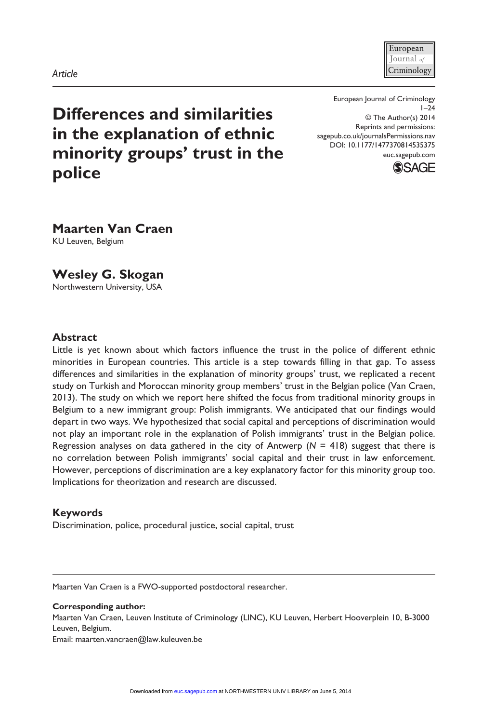#### European Iournal  $\omega$ Criminology

**Differences and similarities in the explanation of ethnic minority groups' trust in the police**

European Journal of Criminology  $1 - 24$ © The Author(s) 2014 Reprints and permissions: sagepub.co.uk/journalsPermissions.nav DOI: 10.1177/1477370814535375 euc.sagepub.com



**Maarten Van Craen** KU Leuven, Belgium

**Wesley G. Skogan**

Northwestern University, USA

### **Abstract**

Little is yet known about which factors influence the trust in the police of different ethnic minorities in European countries. This article is a step towards filling in that gap. To assess differences and similarities in the explanation of minority groups' trust, we replicated a recent study on Turkish and Moroccan minority group members' trust in the Belgian police (Van Craen, 2013). The study on which we report here shifted the focus from traditional minority groups in Belgium to a new immigrant group: Polish immigrants. We anticipated that our findings would depart in two ways. We hypothesized that social capital and perceptions of discrimination would not play an important role in the explanation of Polish immigrants' trust in the Belgian police. Regression analyses on data gathered in the city of Antwerp ( $N = 418$ ) suggest that there is no correlation between Polish immigrants' social capital and their trust in law enforcement. However, perceptions of discrimination are a key explanatory factor for this minority group too. Implications for theorization and research are discussed.

## **Keywords**

Discrimination, police, procedural justice, social capital, trust

Maarten Van Craen is a FWO-supported postdoctoral researcher.

#### **Corresponding author:**

Maarten Van Craen, Leuven Institute of Criminology (LINC), KU Leuven, Herbert Hooverplein 10, B-3000 Leuven, Belgium.

Email: maarten.vancraen@law.kuleuven.be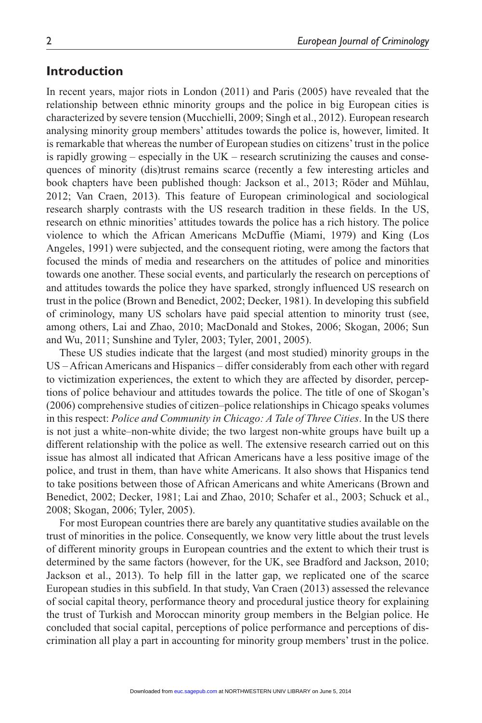## **Introduction**

In recent years, major riots in London (2011) and Paris (2005) have revealed that the relationship between ethnic minority groups and the police in big European cities is characterized by severe tension (Mucchielli, 2009; Singh et al., 2012). European research analysing minority group members' attitudes towards the police is, however, limited. It is remarkable that whereas the number of European studies on citizens' trust in the police is rapidly growing – especially in the UK – research scrutinizing the causes and consequences of minority (dis)trust remains scarce (recently a few interesting articles and book chapters have been published though: Jackson et al., 2013; Röder and Mühlau, 2012; Van Craen, 2013). This feature of European criminological and sociological research sharply contrasts with the US research tradition in these fields. In the US, research on ethnic minorities' attitudes towards the police has a rich history. The police violence to which the African Americans McDuffie (Miami, 1979) and King (Los Angeles, 1991) were subjected, and the consequent rioting, were among the factors that focused the minds of media and researchers on the attitudes of police and minorities towards one another. These social events, and particularly the research on perceptions of and attitudes towards the police they have sparked, strongly influenced US research on trust in the police (Brown and Benedict, 2002; Decker, 1981). In developing this subfield of criminology, many US scholars have paid special attention to minority trust (see, among others, Lai and Zhao, 2010; MacDonald and Stokes, 2006; Skogan, 2006; Sun and Wu, 2011; Sunshine and Tyler, 2003; Tyler, 2001, 2005).

These US studies indicate that the largest (and most studied) minority groups in the US – African Americans and Hispanics – differ considerably from each other with regard to victimization experiences, the extent to which they are affected by disorder, perceptions of police behaviour and attitudes towards the police. The title of one of Skogan's (2006) comprehensive studies of citizen–police relationships in Chicago speaks volumes in this respect: *Police and Community in Chicago: A Tale of Three Cities*. In the US there is not just a white–non-white divide; the two largest non-white groups have built up a different relationship with the police as well. The extensive research carried out on this issue has almost all indicated that African Americans have a less positive image of the police, and trust in them, than have white Americans. It also shows that Hispanics tend to take positions between those of African Americans and white Americans (Brown and Benedict, 2002; Decker, 1981; Lai and Zhao, 2010; Schafer et al., 2003; Schuck et al., 2008; Skogan, 2006; Tyler, 2005).

For most European countries there are barely any quantitative studies available on the trust of minorities in the police. Consequently, we know very little about the trust levels of different minority groups in European countries and the extent to which their trust is determined by the same factors (however, for the UK, see Bradford and Jackson, 2010; Jackson et al., 2013). To help fill in the latter gap, we replicated one of the scarce European studies in this subfield. In that study, Van Craen (2013) assessed the relevance of social capital theory, performance theory and procedural justice theory for explaining the trust of Turkish and Moroccan minority group members in the Belgian police. He concluded that social capital, perceptions of police performance and perceptions of discrimination all play a part in accounting for minority group members' trust in the police.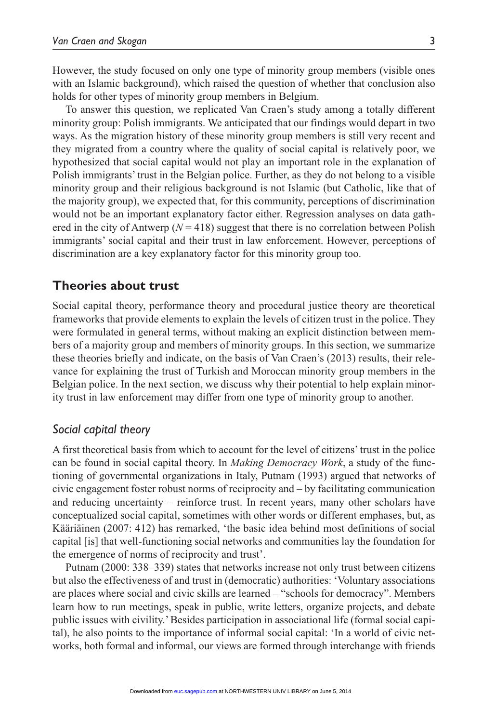However, the study focused on only one type of minority group members (visible ones with an Islamic background), which raised the question of whether that conclusion also holds for other types of minority group members in Belgium.

To answer this question, we replicated Van Craen's study among a totally different minority group: Polish immigrants. We anticipated that our findings would depart in two ways. As the migration history of these minority group members is still very recent and they migrated from a country where the quality of social capital is relatively poor, we hypothesized that social capital would not play an important role in the explanation of Polish immigrants' trust in the Belgian police. Further, as they do not belong to a visible minority group and their religious background is not Islamic (but Catholic, like that of the majority group), we expected that, for this community, perceptions of discrimination would not be an important explanatory factor either. Regression analyses on data gathered in the city of Antwerp ( $N = 418$ ) suggest that there is no correlation between Polish immigrants' social capital and their trust in law enforcement. However, perceptions of discrimination are a key explanatory factor for this minority group too.

## **Theories about trust**

Social capital theory, performance theory and procedural justice theory are theoretical frameworks that provide elements to explain the levels of citizen trust in the police. They were formulated in general terms, without making an explicit distinction between members of a majority group and members of minority groups. In this section, we summarize these theories briefly and indicate, on the basis of Van Craen's (2013) results, their relevance for explaining the trust of Turkish and Moroccan minority group members in the Belgian police. In the next section, we discuss why their potential to help explain minority trust in law enforcement may differ from one type of minority group to another.

## *Social capital theory*

A first theoretical basis from which to account for the level of citizens' trust in the police can be found in social capital theory. In *Making Democracy Work*, a study of the functioning of governmental organizations in Italy, Putnam (1993) argued that networks of civic engagement foster robust norms of reciprocity and – by facilitating communication and reducing uncertainty – reinforce trust. In recent years, many other scholars have conceptualized social capital, sometimes with other words or different emphases, but, as Kääriäinen (2007: 412) has remarked, 'the basic idea behind most definitions of social capital [is] that well-functioning social networks and communities lay the foundation for the emergence of norms of reciprocity and trust'.

Putnam (2000: 338–339) states that networks increase not only trust between citizens but also the effectiveness of and trust in (democratic) authorities: 'Voluntary associations are places where social and civic skills are learned – "schools for democracy". Members learn how to run meetings, speak in public, write letters, organize projects, and debate public issues with civility.' Besides participation in associational life (formal social capital), he also points to the importance of informal social capital: 'In a world of civic networks, both formal and informal, our views are formed through interchange with friends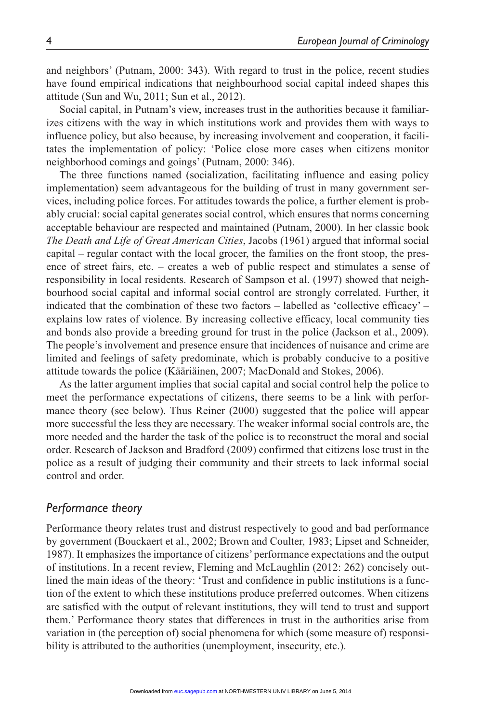and neighbors' (Putnam, 2000: 343). With regard to trust in the police, recent studies have found empirical indications that neighbourhood social capital indeed shapes this attitude (Sun and Wu, 2011; Sun et al., 2012).

Social capital, in Putnam's view, increases trust in the authorities because it familiarizes citizens with the way in which institutions work and provides them with ways to influence policy, but also because, by increasing involvement and cooperation, it facilitates the implementation of policy: 'Police close more cases when citizens monitor neighborhood comings and goings' (Putnam, 2000: 346).

The three functions named (socialization, facilitating influence and easing policy implementation) seem advantageous for the building of trust in many government services, including police forces. For attitudes towards the police, a further element is probably crucial: social capital generates social control, which ensures that norms concerning acceptable behaviour are respected and maintained (Putnam, 2000). In her classic book *The Death and Life of Great American Cities*, Jacobs (1961) argued that informal social capital – regular contact with the local grocer, the families on the front stoop, the presence of street fairs, etc. – creates a web of public respect and stimulates a sense of responsibility in local residents. Research of Sampson et al. (1997) showed that neighbourhood social capital and informal social control are strongly correlated. Further, it indicated that the combination of these two factors – labelled as 'collective efficacy' – explains low rates of violence. By increasing collective efficacy, local community ties and bonds also provide a breeding ground for trust in the police (Jackson et al., 2009). The people's involvement and presence ensure that incidences of nuisance and crime are limited and feelings of safety predominate, which is probably conducive to a positive attitude towards the police (Kääriäinen, 2007; MacDonald and Stokes, 2006).

As the latter argument implies that social capital and social control help the police to meet the performance expectations of citizens, there seems to be a link with performance theory (see below). Thus Reiner (2000) suggested that the police will appear more successful the less they are necessary. The weaker informal social controls are, the more needed and the harder the task of the police is to reconstruct the moral and social order. Research of Jackson and Bradford (2009) confirmed that citizens lose trust in the police as a result of judging their community and their streets to lack informal social control and order.

## *Performance theory*

Performance theory relates trust and distrust respectively to good and bad performance by government (Bouckaert et al., 2002; Brown and Coulter, 1983; Lipset and Schneider, 1987). It emphasizes the importance of citizens' performance expectations and the output of institutions. In a recent review, Fleming and McLaughlin (2012: 262) concisely outlined the main ideas of the theory: 'Trust and confidence in public institutions is a function of the extent to which these institutions produce preferred outcomes. When citizens are satisfied with the output of relevant institutions, they will tend to trust and support them.' Performance theory states that differences in trust in the authorities arise from variation in (the perception of) social phenomena for which (some measure of) responsibility is attributed to the authorities (unemployment, insecurity, etc.).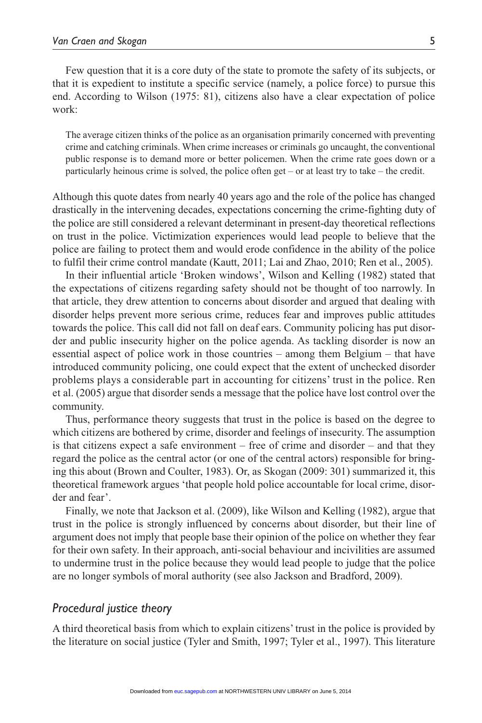Few question that it is a core duty of the state to promote the safety of its subjects, or that it is expedient to institute a specific service (namely, a police force) to pursue this end. According to Wilson (1975: 81), citizens also have a clear expectation of police work:

The average citizen thinks of the police as an organisation primarily concerned with preventing crime and catching criminals. When crime increases or criminals go uncaught, the conventional public response is to demand more or better policemen. When the crime rate goes down or a particularly heinous crime is solved, the police often get – or at least try to take – the credit.

Although this quote dates from nearly 40 years ago and the role of the police has changed drastically in the intervening decades, expectations concerning the crime-fighting duty of the police are still considered a relevant determinant in present-day theoretical reflections on trust in the police. Victimization experiences would lead people to believe that the police are failing to protect them and would erode confidence in the ability of the police to fulfil their crime control mandate (Kautt, 2011; Lai and Zhao, 2010; Ren et al., 2005).

In their influential article 'Broken windows', Wilson and Kelling (1982) stated that the expectations of citizens regarding safety should not be thought of too narrowly. In that article, they drew attention to concerns about disorder and argued that dealing with disorder helps prevent more serious crime, reduces fear and improves public attitudes towards the police. This call did not fall on deaf ears. Community policing has put disorder and public insecurity higher on the police agenda. As tackling disorder is now an essential aspect of police work in those countries – among them Belgium – that have introduced community policing, one could expect that the extent of unchecked disorder problems plays a considerable part in accounting for citizens' trust in the police. Ren et al. (2005) argue that disorder sends a message that the police have lost control over the community.

Thus, performance theory suggests that trust in the police is based on the degree to which citizens are bothered by crime, disorder and feelings of insecurity. The assumption is that citizens expect a safe environment – free of crime and disorder – and that they regard the police as the central actor (or one of the central actors) responsible for bringing this about (Brown and Coulter, 1983). Or, as Skogan (2009: 301) summarized it, this theoretical framework argues 'that people hold police accountable for local crime, disorder and fear'.

Finally, we note that Jackson et al. (2009), like Wilson and Kelling (1982), argue that trust in the police is strongly influenced by concerns about disorder, but their line of argument does not imply that people base their opinion of the police on whether they fear for their own safety. In their approach, anti-social behaviour and incivilities are assumed to undermine trust in the police because they would lead people to judge that the police are no longer symbols of moral authority (see also Jackson and Bradford, 2009).

## *Procedural justice theory*

A third theoretical basis from which to explain citizens' trust in the police is provided by the literature on social justice (Tyler and Smith, 1997; Tyler et al., 1997). This literature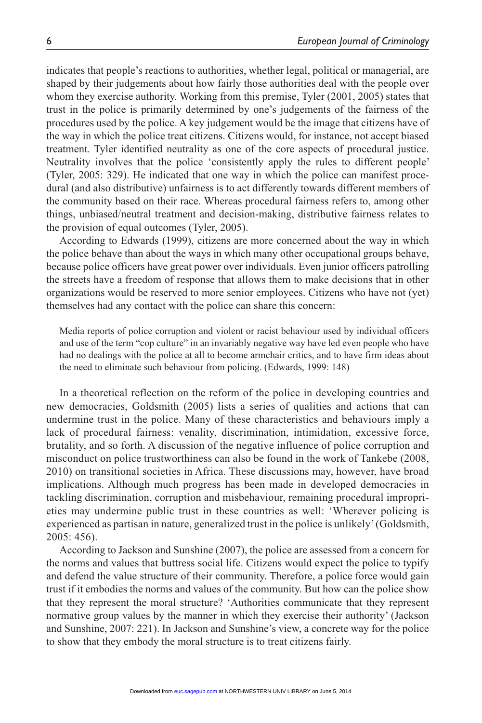indicates that people's reactions to authorities, whether legal, political or managerial, are shaped by their judgements about how fairly those authorities deal with the people over whom they exercise authority. Working from this premise, Tyler (2001, 2005) states that trust in the police is primarily determined by one's judgements of the fairness of the procedures used by the police. A key judgement would be the image that citizens have of the way in which the police treat citizens. Citizens would, for instance, not accept biased treatment. Tyler identified neutrality as one of the core aspects of procedural justice. Neutrality involves that the police 'consistently apply the rules to different people' (Tyler, 2005: 329). He indicated that one way in which the police can manifest procedural (and also distributive) unfairness is to act differently towards different members of the community based on their race. Whereas procedural fairness refers to, among other things, unbiased/neutral treatment and decision-making, distributive fairness relates to the provision of equal outcomes (Tyler, 2005).

According to Edwards (1999), citizens are more concerned about the way in which the police behave than about the ways in which many other occupational groups behave, because police officers have great power over individuals. Even junior officers patrolling the streets have a freedom of response that allows them to make decisions that in other organizations would be reserved to more senior employees. Citizens who have not (yet) themselves had any contact with the police can share this concern:

Media reports of police corruption and violent or racist behaviour used by individual officers and use of the term "cop culture" in an invariably negative way have led even people who have had no dealings with the police at all to become armchair critics, and to have firm ideas about the need to eliminate such behaviour from policing. (Edwards, 1999: 148)

In a theoretical reflection on the reform of the police in developing countries and new democracies, Goldsmith (2005) lists a series of qualities and actions that can undermine trust in the police. Many of these characteristics and behaviours imply a lack of procedural fairness: venality, discrimination, intimidation, excessive force, brutality, and so forth. A discussion of the negative influence of police corruption and misconduct on police trustworthiness can also be found in the work of Tankebe (2008, 2010) on transitional societies in Africa. These discussions may, however, have broad implications. Although much progress has been made in developed democracies in tackling discrimination, corruption and misbehaviour, remaining procedural improprieties may undermine public trust in these countries as well: 'Wherever policing is experienced as partisan in nature, generalized trust in the police is unlikely' (Goldsmith, 2005: 456).

According to Jackson and Sunshine (2007), the police are assessed from a concern for the norms and values that buttress social life. Citizens would expect the police to typify and defend the value structure of their community. Therefore, a police force would gain trust if it embodies the norms and values of the community. But how can the police show that they represent the moral structure? 'Authorities communicate that they represent normative group values by the manner in which they exercise their authority' (Jackson and Sunshine, 2007: 221). In Jackson and Sunshine's view, a concrete way for the police to show that they embody the moral structure is to treat citizens fairly.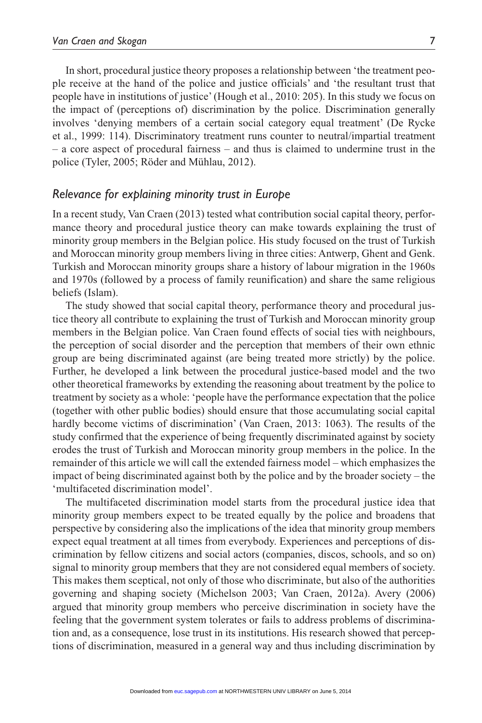In short, procedural justice theory proposes a relationship between 'the treatment people receive at the hand of the police and justice officials' and 'the resultant trust that people have in institutions of justice' (Hough et al., 2010: 205). In this study we focus on the impact of (perceptions of) discrimination by the police. Discrimination generally involves 'denying members of a certain social category equal treatment' (De Rycke et al., 1999: 114). Discriminatory treatment runs counter to neutral/impartial treatment – a core aspect of procedural fairness – and thus is claimed to undermine trust in the police (Tyler, 2005; Röder and Mühlau, 2012).

#### *Relevance for explaining minority trust in Europe*

In a recent study, Van Craen (2013) tested what contribution social capital theory, performance theory and procedural justice theory can make towards explaining the trust of minority group members in the Belgian police. His study focused on the trust of Turkish and Moroccan minority group members living in three cities: Antwerp, Ghent and Genk. Turkish and Moroccan minority groups share a history of labour migration in the 1960s and 1970s (followed by a process of family reunification) and share the same religious beliefs (Islam).

The study showed that social capital theory, performance theory and procedural justice theory all contribute to explaining the trust of Turkish and Moroccan minority group members in the Belgian police. Van Craen found effects of social ties with neighbours, the perception of social disorder and the perception that members of their own ethnic group are being discriminated against (are being treated more strictly) by the police. Further, he developed a link between the procedural justice-based model and the two other theoretical frameworks by extending the reasoning about treatment by the police to treatment by society as a whole: 'people have the performance expectation that the police (together with other public bodies) should ensure that those accumulating social capital hardly become victims of discrimination' (Van Craen, 2013: 1063). The results of the study confirmed that the experience of being frequently discriminated against by society erodes the trust of Turkish and Moroccan minority group members in the police. In the remainder of this article we will call the extended fairness model – which emphasizes the impact of being discriminated against both by the police and by the broader society – the 'multifaceted discrimination model'.

The multifaceted discrimination model starts from the procedural justice idea that minority group members expect to be treated equally by the police and broadens that perspective by considering also the implications of the idea that minority group members expect equal treatment at all times from everybody. Experiences and perceptions of discrimination by fellow citizens and social actors (companies, discos, schools, and so on) signal to minority group members that they are not considered equal members of society. This makes them sceptical, not only of those who discriminate, but also of the authorities governing and shaping society (Michelson 2003; Van Craen, 2012a). Avery (2006) argued that minority group members who perceive discrimination in society have the feeling that the government system tolerates or fails to address problems of discrimination and, as a consequence, lose trust in its institutions. His research showed that perceptions of discrimination, measured in a general way and thus including discrimination by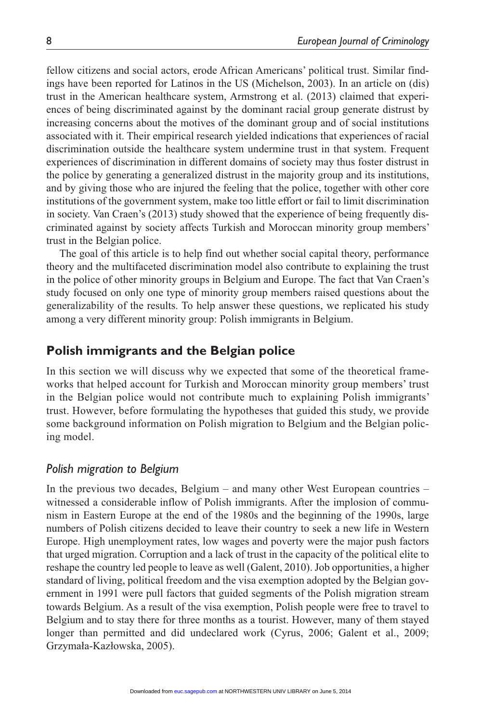fellow citizens and social actors, erode African Americans' political trust. Similar findings have been reported for Latinos in the US (Michelson, 2003). In an article on (dis) trust in the American healthcare system, Armstrong et al. (2013) claimed that experiences of being discriminated against by the dominant racial group generate distrust by increasing concerns about the motives of the dominant group and of social institutions associated with it. Their empirical research yielded indications that experiences of racial discrimination outside the healthcare system undermine trust in that system. Frequent experiences of discrimination in different domains of society may thus foster distrust in the police by generating a generalized distrust in the majority group and its institutions, and by giving those who are injured the feeling that the police, together with other core institutions of the government system, make too little effort or fail to limit discrimination in society. Van Craen's (2013) study showed that the experience of being frequently discriminated against by society affects Turkish and Moroccan minority group members' trust in the Belgian police.

The goal of this article is to help find out whether social capital theory, performance theory and the multifaceted discrimination model also contribute to explaining the trust in the police of other minority groups in Belgium and Europe. The fact that Van Craen's study focused on only one type of minority group members raised questions about the generalizability of the results. To help answer these questions, we replicated his study among a very different minority group: Polish immigrants in Belgium.

# **Polish immigrants and the Belgian police**

In this section we will discuss why we expected that some of the theoretical frameworks that helped account for Turkish and Moroccan minority group members' trust in the Belgian police would not contribute much to explaining Polish immigrants' trust. However, before formulating the hypotheses that guided this study, we provide some background information on Polish migration to Belgium and the Belgian policing model.

## *Polish migration to Belgium*

In the previous two decades, Belgium – and many other West European countries – witnessed a considerable inflow of Polish immigrants. After the implosion of communism in Eastern Europe at the end of the 1980s and the beginning of the 1990s, large numbers of Polish citizens decided to leave their country to seek a new life in Western Europe. High unemployment rates, low wages and poverty were the major push factors that urged migration. Corruption and a lack of trust in the capacity of the political elite to reshape the country led people to leave as well (Galent, 2010). Job opportunities, a higher standard of living, political freedom and the visa exemption adopted by the Belgian government in 1991 were pull factors that guided segments of the Polish migration stream towards Belgium. As a result of the visa exemption, Polish people were free to travel to Belgium and to stay there for three months as a tourist. However, many of them stayed longer than permitted and did undeclared work (Cyrus, 2006; Galent et al., 2009; Grzymała-Kazłowska, 2005).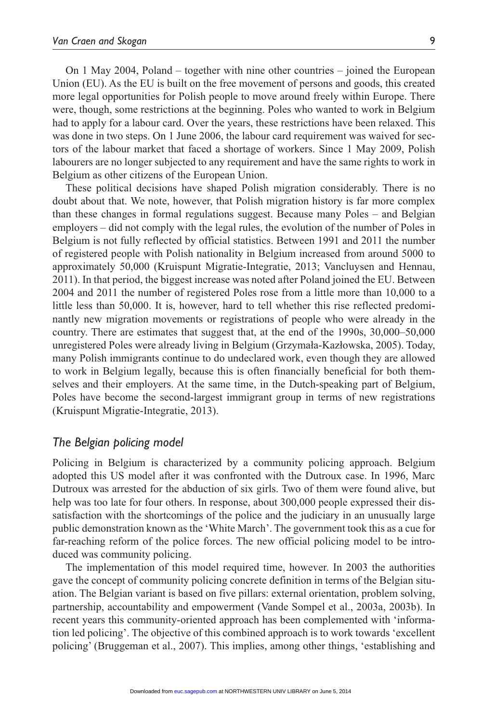On 1 May 2004, Poland – together with nine other countries – joined the European Union (EU). As the EU is built on the free movement of persons and goods, this created more legal opportunities for Polish people to move around freely within Europe. There were, though, some restrictions at the beginning. Poles who wanted to work in Belgium had to apply for a labour card. Over the years, these restrictions have been relaxed. This was done in two steps. On 1 June 2006, the labour card requirement was waived for sectors of the labour market that faced a shortage of workers. Since 1 May 2009, Polish labourers are no longer subjected to any requirement and have the same rights to work in Belgium as other citizens of the European Union.

These political decisions have shaped Polish migration considerably. There is no doubt about that. We note, however, that Polish migration history is far more complex than these changes in formal regulations suggest. Because many Poles – and Belgian employers – did not comply with the legal rules, the evolution of the number of Poles in Belgium is not fully reflected by official statistics. Between 1991 and 2011 the number of registered people with Polish nationality in Belgium increased from around 5000 to approximately 50,000 (Kruispunt Migratie-Integratie, 2013; Vancluysen and Hennau, 2011). In that period, the biggest increase was noted after Poland joined the EU. Between 2004 and 2011 the number of registered Poles rose from a little more than 10,000 to a little less than 50,000. It is, however, hard to tell whether this rise reflected predominantly new migration movements or registrations of people who were already in the country. There are estimates that suggest that, at the end of the 1990s, 30,000–50,000 unregistered Poles were already living in Belgium (Grzymała-Kazłowska, 2005). Today, many Polish immigrants continue to do undeclared work, even though they are allowed to work in Belgium legally, because this is often financially beneficial for both themselves and their employers. At the same time, in the Dutch-speaking part of Belgium, Poles have become the second-largest immigrant group in terms of new registrations (Kruispunt Migratie-Integratie, 2013).

#### *The Belgian policing model*

Policing in Belgium is characterized by a community policing approach. Belgium adopted this US model after it was confronted with the Dutroux case. In 1996, Marc Dutroux was arrested for the abduction of six girls. Two of them were found alive, but help was too late for four others. In response, about 300,000 people expressed their dissatisfaction with the shortcomings of the police and the judiciary in an unusually large public demonstration known as the 'White March'. The government took this as a cue for far-reaching reform of the police forces. The new official policing model to be introduced was community policing.

The implementation of this model required time, however. In 2003 the authorities gave the concept of community policing concrete definition in terms of the Belgian situation. The Belgian variant is based on five pillars: external orientation, problem solving, partnership, accountability and empowerment (Vande Sompel et al., 2003a, 2003b). In recent years this community-oriented approach has been complemented with 'information led policing'. The objective of this combined approach is to work towards 'excellent policing' (Bruggeman et al., 2007). This implies, among other things, 'establishing and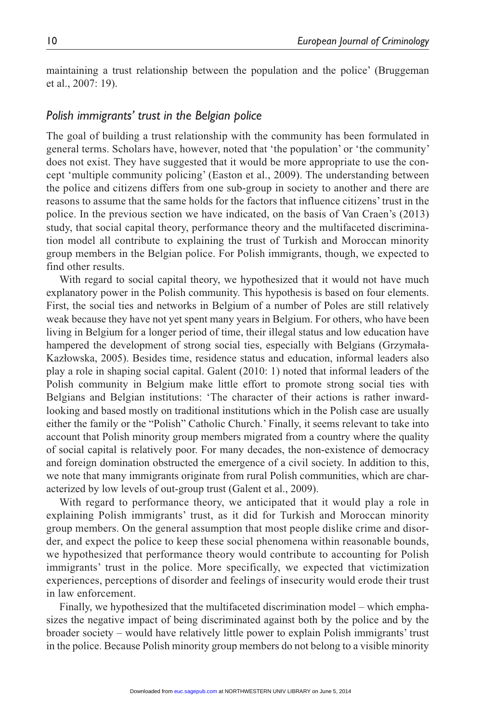maintaining a trust relationship between the population and the police' (Bruggeman et al., 2007: 19).

#### *Polish immigrants' trust in the Belgian police*

The goal of building a trust relationship with the community has been formulated in general terms. Scholars have, however, noted that 'the population' or 'the community' does not exist. They have suggested that it would be more appropriate to use the concept 'multiple community policing' (Easton et al., 2009). The understanding between the police and citizens differs from one sub-group in society to another and there are reasons to assume that the same holds for the factors that influence citizens' trust in the police. In the previous section we have indicated, on the basis of Van Craen's (2013) study, that social capital theory, performance theory and the multifaceted discrimination model all contribute to explaining the trust of Turkish and Moroccan minority group members in the Belgian police. For Polish immigrants, though, we expected to find other results.

With regard to social capital theory, we hypothesized that it would not have much explanatory power in the Polish community. This hypothesis is based on four elements. First, the social ties and networks in Belgium of a number of Poles are still relatively weak because they have not yet spent many years in Belgium. For others, who have been living in Belgium for a longer period of time, their illegal status and low education have hampered the development of strong social ties, especially with Belgians (Grzymała-Kazłowska, 2005). Besides time, residence status and education, informal leaders also play a role in shaping social capital. Galent (2010: 1) noted that informal leaders of the Polish community in Belgium make little effort to promote strong social ties with Belgians and Belgian institutions: 'The character of their actions is rather inwardlooking and based mostly on traditional institutions which in the Polish case are usually either the family or the "Polish" Catholic Church.' Finally, it seems relevant to take into account that Polish minority group members migrated from a country where the quality of social capital is relatively poor. For many decades, the non-existence of democracy and foreign domination obstructed the emergence of a civil society. In addition to this, we note that many immigrants originate from rural Polish communities, which are characterized by low levels of out-group trust (Galent et al., 2009).

With regard to performance theory, we anticipated that it would play a role in explaining Polish immigrants' trust, as it did for Turkish and Moroccan minority group members. On the general assumption that most people dislike crime and disorder, and expect the police to keep these social phenomena within reasonable bounds, we hypothesized that performance theory would contribute to accounting for Polish immigrants' trust in the police. More specifically, we expected that victimization experiences, perceptions of disorder and feelings of insecurity would erode their trust in law enforcement.

Finally, we hypothesized that the multifaceted discrimination model – which emphasizes the negative impact of being discriminated against both by the police and by the broader society – would have relatively little power to explain Polish immigrants' trust in the police. Because Polish minority group members do not belong to a visible minority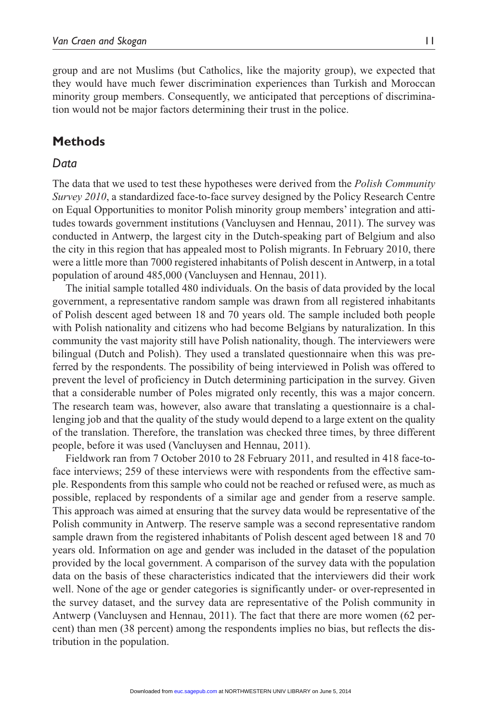group and are not Muslims (but Catholics, like the majority group), we expected that they would have much fewer discrimination experiences than Turkish and Moroccan minority group members. Consequently, we anticipated that perceptions of discrimination would not be major factors determining their trust in the police.

# **Methods**

## *Data*

The data that we used to test these hypotheses were derived from the *Polish Community Survey 2010*, a standardized face-to-face survey designed by the Policy Research Centre on Equal Opportunities to monitor Polish minority group members' integration and attitudes towards government institutions (Vancluysen and Hennau, 2011). The survey was conducted in Antwerp, the largest city in the Dutch-speaking part of Belgium and also the city in this region that has appealed most to Polish migrants. In February 2010, there were a little more than 7000 registered inhabitants of Polish descent in Antwerp, in a total population of around 485,000 (Vancluysen and Hennau, 2011).

The initial sample totalled 480 individuals. On the basis of data provided by the local government, a representative random sample was drawn from all registered inhabitants of Polish descent aged between 18 and 70 years old. The sample included both people with Polish nationality and citizens who had become Belgians by naturalization. In this community the vast majority still have Polish nationality, though. The interviewers were bilingual (Dutch and Polish). They used a translated questionnaire when this was preferred by the respondents. The possibility of being interviewed in Polish was offered to prevent the level of proficiency in Dutch determining participation in the survey. Given that a considerable number of Poles migrated only recently, this was a major concern. The research team was, however, also aware that translating a questionnaire is a challenging job and that the quality of the study would depend to a large extent on the quality of the translation. Therefore, the translation was checked three times, by three different people, before it was used (Vancluysen and Hennau, 2011).

Fieldwork ran from 7 October 2010 to 28 February 2011, and resulted in 418 face-toface interviews; 259 of these interviews were with respondents from the effective sample. Respondents from this sample who could not be reached or refused were, as much as possible, replaced by respondents of a similar age and gender from a reserve sample. This approach was aimed at ensuring that the survey data would be representative of the Polish community in Antwerp. The reserve sample was a second representative random sample drawn from the registered inhabitants of Polish descent aged between 18 and 70 years old. Information on age and gender was included in the dataset of the population provided by the local government. A comparison of the survey data with the population data on the basis of these characteristics indicated that the interviewers did their work well. None of the age or gender categories is significantly under- or over-represented in the survey dataset, and the survey data are representative of the Polish community in Antwerp (Vancluysen and Hennau, 2011). The fact that there are more women (62 percent) than men (38 percent) among the respondents implies no bias, but reflects the distribution in the population.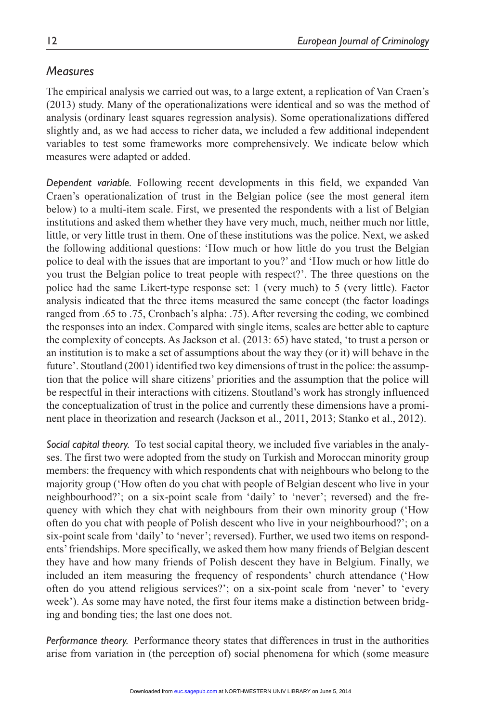# *Measures*

The empirical analysis we carried out was, to a large extent, a replication of Van Craen's (2013) study. Many of the operationalizations were identical and so was the method of analysis (ordinary least squares regression analysis). Some operationalizations differed slightly and, as we had access to richer data, we included a few additional independent variables to test some frameworks more comprehensively. We indicate below which measures were adapted or added.

*Dependent variable.* Following recent developments in this field, we expanded Van Craen's operationalization of trust in the Belgian police (see the most general item below) to a multi-item scale. First, we presented the respondents with a list of Belgian institutions and asked them whether they have very much, much, neither much nor little, little, or very little trust in them. One of these institutions was the police. Next, we asked the following additional questions: 'How much or how little do you trust the Belgian police to deal with the issues that are important to you?' and 'How much or how little do you trust the Belgian police to treat people with respect?'. The three questions on the police had the same Likert-type response set: 1 (very much) to 5 (very little). Factor analysis indicated that the three items measured the same concept (the factor loadings ranged from .65 to .75, Cronbach's alpha: .75). After reversing the coding, we combined the responses into an index. Compared with single items, scales are better able to capture the complexity of concepts. As Jackson et al. (2013: 65) have stated, 'to trust a person or an institution is to make a set of assumptions about the way they (or it) will behave in the future'. Stoutland (2001) identified two key dimensions of trust in the police: the assumption that the police will share citizens' priorities and the assumption that the police will be respectful in their interactions with citizens. Stoutland's work has strongly influenced the conceptualization of trust in the police and currently these dimensions have a prominent place in theorization and research (Jackson et al., 2011, 2013; Stanko et al., 2012).

*Social capital theory.* To test social capital theory, we included five variables in the analyses. The first two were adopted from the study on Turkish and Moroccan minority group members: the frequency with which respondents chat with neighbours who belong to the majority group ('How often do you chat with people of Belgian descent who live in your neighbourhood?'; on a six-point scale from 'daily' to 'never'; reversed) and the frequency with which they chat with neighbours from their own minority group ('How often do you chat with people of Polish descent who live in your neighbourhood?'; on a six-point scale from 'daily' to 'never'; reversed). Further, we used two items on respondents' friendships. More specifically, we asked them how many friends of Belgian descent they have and how many friends of Polish descent they have in Belgium. Finally, we included an item measuring the frequency of respondents' church attendance ('How often do you attend religious services?'; on a six-point scale from 'never' to 'every week'). As some may have noted, the first four items make a distinction between bridging and bonding ties; the last one does not.

*Performance theory.* Performance theory states that differences in trust in the authorities arise from variation in (the perception of) social phenomena for which (some measure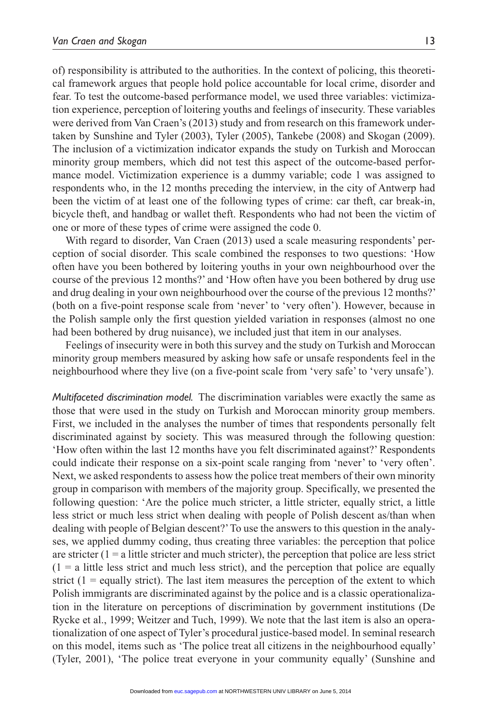of) responsibility is attributed to the authorities. In the context of policing, this theoretical framework argues that people hold police accountable for local crime, disorder and fear. To test the outcome-based performance model, we used three variables: victimization experience, perception of loitering youths and feelings of insecurity. These variables were derived from Van Craen's (2013) study and from research on this framework undertaken by Sunshine and Tyler (2003), Tyler (2005), Tankebe (2008) and Skogan (2009). The inclusion of a victimization indicator expands the study on Turkish and Moroccan minority group members, which did not test this aspect of the outcome-based performance model. Victimization experience is a dummy variable; code 1 was assigned to respondents who, in the 12 months preceding the interview, in the city of Antwerp had been the victim of at least one of the following types of crime: car theft, car break-in, bicycle theft, and handbag or wallet theft. Respondents who had not been the victim of one or more of these types of crime were assigned the code 0.

With regard to disorder, Van Craen (2013) used a scale measuring respondents' perception of social disorder. This scale combined the responses to two questions: 'How often have you been bothered by loitering youths in your own neighbourhood over the course of the previous 12 months?' and 'How often have you been bothered by drug use and drug dealing in your own neighbourhood over the course of the previous 12 months?' (both on a five-point response scale from 'never' to 'very often'). However, because in the Polish sample only the first question yielded variation in responses (almost no one had been bothered by drug nuisance), we included just that item in our analyses.

Feelings of insecurity were in both this survey and the study on Turkish and Moroccan minority group members measured by asking how safe or unsafe respondents feel in the neighbourhood where they live (on a five-point scale from 'very safe' to 'very unsafe').

*Multifaceted discrimination model.* The discrimination variables were exactly the same as those that were used in the study on Turkish and Moroccan minority group members. First, we included in the analyses the number of times that respondents personally felt discriminated against by society. This was measured through the following question: 'How often within the last 12 months have you felt discriminated against?' Respondents could indicate their response on a six-point scale ranging from 'never' to 'very often'. Next, we asked respondents to assess how the police treat members of their own minority group in comparison with members of the majority group. Specifically, we presented the following question: 'Are the police much stricter, a little stricter, equally strict, a little less strict or much less strict when dealing with people of Polish descent as/than when dealing with people of Belgian descent?' To use the answers to this question in the analyses, we applied dummy coding, thus creating three variables: the perception that police are stricter  $(1 = a)$  little stricter and much stricter), the perception that police are less strict  $(1 = a$  little less strict and much less strict), and the perception that police are equally strict  $(1 = \text{equally strict})$ . The last item measures the perception of the extent to which Polish immigrants are discriminated against by the police and is a classic operationalization in the literature on perceptions of discrimination by government institutions (De Rycke et al., 1999; Weitzer and Tuch, 1999). We note that the last item is also an operationalization of one aspect of Tyler's procedural justice-based model. In seminal research on this model, items such as 'The police treat all citizens in the neighbourhood equally' (Tyler, 2001), 'The police treat everyone in your community equally' (Sunshine and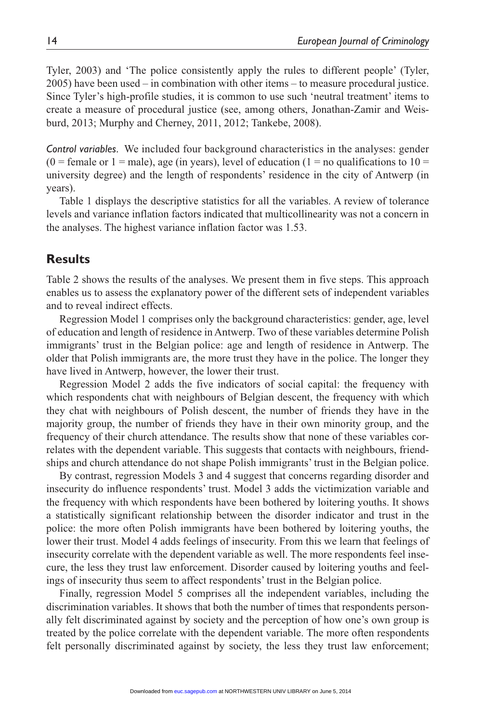Tyler, 2003) and 'The police consistently apply the rules to different people' (Tyler, 2005) have been used – in combination with other items – to measure procedural justice. Since Tyler's high-profile studies, it is common to use such 'neutral treatment' items to create a measure of procedural justice (see, among others, Jonathan-Zamir and Weisburd, 2013; Murphy and Cherney, 2011, 2012; Tankebe, 2008).

*Control variables.* We included four background characteristics in the analyses: gender  $(0 =$  female or  $1 =$  male), age (in years), level of education  $(1 =$  no qualifications to  $10 =$ university degree) and the length of respondents' residence in the city of Antwerp (in years).

Table 1 displays the descriptive statistics for all the variables. A review of tolerance levels and variance inflation factors indicated that multicollinearity was not a concern in the analyses. The highest variance inflation factor was 1.53.

# **Results**

Table 2 shows the results of the analyses. We present them in five steps. This approach enables us to assess the explanatory power of the different sets of independent variables and to reveal indirect effects.

Regression Model 1 comprises only the background characteristics: gender, age, level of education and length of residence in Antwerp. Two of these variables determine Polish immigrants' trust in the Belgian police: age and length of residence in Antwerp. The older that Polish immigrants are, the more trust they have in the police. The longer they have lived in Antwerp, however, the lower their trust.

Regression Model 2 adds the five indicators of social capital: the frequency with which respondents chat with neighbours of Belgian descent, the frequency with which they chat with neighbours of Polish descent, the number of friends they have in the majority group, the number of friends they have in their own minority group, and the frequency of their church attendance. The results show that none of these variables correlates with the dependent variable. This suggests that contacts with neighbours, friendships and church attendance do not shape Polish immigrants' trust in the Belgian police.

By contrast, regression Models 3 and 4 suggest that concerns regarding disorder and insecurity do influence respondents' trust. Model 3 adds the victimization variable and the frequency with which respondents have been bothered by loitering youths. It shows a statistically significant relationship between the disorder indicator and trust in the police: the more often Polish immigrants have been bothered by loitering youths, the lower their trust. Model 4 adds feelings of insecurity. From this we learn that feelings of insecurity correlate with the dependent variable as well. The more respondents feel insecure, the less they trust law enforcement. Disorder caused by loitering youths and feelings of insecurity thus seem to affect respondents' trust in the Belgian police.

Finally, regression Model 5 comprises all the independent variables, including the discrimination variables. It shows that both the number of times that respondents personally felt discriminated against by society and the perception of how one's own group is treated by the police correlate with the dependent variable. The more often respondents felt personally discriminated against by society, the less they trust law enforcement;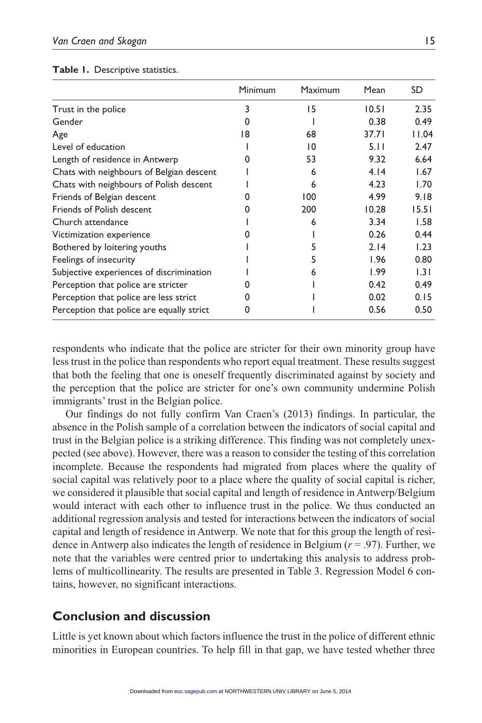|  |  | Table 1. Descriptive statistics. |
|--|--|----------------------------------|
|--|--|----------------------------------|

|                                           | Minimum | Maximum | Mean  | SD    |
|-------------------------------------------|---------|---------|-------|-------|
| Trust in the police                       | 3       | 15      | 10.51 | 2.35  |
| Gender                                    | O       |         | 0.38  | 0.49  |
| Age                                       | 18      | 68      | 37.71 | 11.04 |
| Level of education                        |         | 10      | 5.11  | 2.47  |
| Length of residence in Antwerp            |         | 53      | 9.32  | 6.64  |
| Chats with neighbours of Belgian descent  |         | 6       | 4.14  | 1.67  |
| Chats with neighbours of Polish descent   |         | 6       | 4.23  | 1.70  |
| Friends of Belgian descent                |         | 100     | 4.99  | 9.18  |
| Friends of Polish descent                 |         | 200     | 10.28 | 15.51 |
| Church attendance                         |         | 6       | 3.34  | 1.58  |
| Victimization experience                  |         |         | 0.26  | 0.44  |
| Bothered by loitering youths              |         |         | 2.14  | 1.23  |
| Feelings of insecurity                    |         |         | 1.96  | 0.80  |
| Subjective experiences of discrimination  |         | 6       | 1.99  | 1.31  |
| Perception that police are stricter       |         |         | 0.42  | 0.49  |
| Perception that police are less strict    | 0       |         | 0.02  | 0.15  |
| Perception that police are equally strict | 0       |         | 0.56  | 0.50  |

respondents who indicate that the police are stricter for their own minority group have less trust in the police than respondents who report equal treatment. These results suggest that both the feeling that one is oneself frequently discriminated against by society and the perception that the police are stricter for one's own community undermine Polish immigrants' trust in the Belgian police.

Our findings do not fully confirm Van Craen's (2013) findings. In particular, the absence in the Polish sample of a correlation between the indicators of social capital and trust in the Belgian police is a striking difference. This finding was not completely unexpected (see above). However, there was a reason to consider the testing of this correlation incomplete. Because the respondents had migrated from places where the quality of social capital was relatively poor to a place where the quality of social capital is richer, we considered it plausible that social capital and length of residence in Antwerp/Belgium would interact with each other to influence trust in the police. We thus conducted an additional regression analysis and tested for interactions between the indicators of social capital and length of residence in Antwerp. We note that for this group the length of residence in Antwerp also indicates the length of residence in Belgium  $(r = .97)$ . Further, we note that the variables were centred prior to undertaking this analysis to address problems of multicollinearity. The results are presented in Table 3. Regression Model 6 contains, however, no significant interactions.

# **Conclusion and discussion**

Little is yet known about which factors influence the trust in the police of different ethnic minorities in European countries. To help fill in that gap, we have tested whether three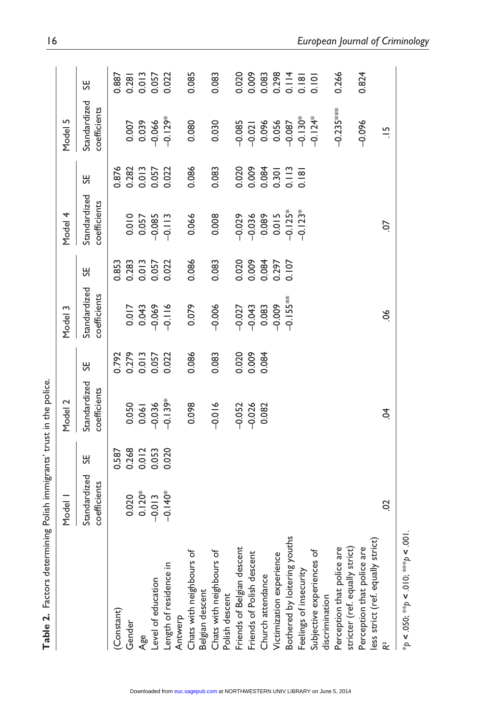| ${\sf Table~2.}$ Factors determining Polish immigrants' trust in the police.               |                                           |                |                                            |                         |                              |                         |                                |                         |                                                 |                                     |
|--------------------------------------------------------------------------------------------|-------------------------------------------|----------------|--------------------------------------------|-------------------------|------------------------------|-------------------------|--------------------------------|-------------------------|-------------------------------------------------|-------------------------------------|
|                                                                                            | Model 1                                   |                | Model 2                                    |                         | Model 3                      |                         | Model 4                        |                         | Model 5                                         |                                     |
|                                                                                            | Standardized<br>coefficients              | ₩              | Standardized<br>coefficients               | ₩                       | Standardized<br>coefficients | ₩                       | Standardized<br>coefficients   | 55                      | Standardized<br>coefficients                    | 55                                  |
| (Constant)                                                                                 |                                           | 0.587          |                                            | 0.792                   |                              | 0.853                   |                                | 0.876                   |                                                 | 0.887                               |
| Gender                                                                                     |                                           |                |                                            |                         |                              |                         |                                |                         |                                                 |                                     |
| Age                                                                                        | $0.020$<br>$0.120*$<br>$0.013$<br>$0.40*$ | 0.268<br>0.012 |                                            | 0.279<br>0.013<br>0.057 | 0.017                        | 0.283<br>0.013<br>0.057 | 0.010<br>0.057                 | 0.282<br>0.013<br>0.057 | 0.007                                           | 0.281<br>0.013<br>0.057<br>0.022    |
| Level of education                                                                         |                                           | 0.053          |                                            |                         |                              |                         |                                |                         | $-0.066$                                        |                                     |
| Length of residence in<br>Antwerp                                                          |                                           | 0.020          | $0.050$<br>$0.061$<br>$0.036$<br>$-0.139*$ | 0.022                   | $-0.069$                     | 0.022                   | $-0.085$<br>$-0.113$           | 0.022                   | $-0.129*$                                       |                                     |
| Chats with neighbours of<br>Belgian descent                                                |                                           |                | 0.098                                      | 0.086                   | 0.079                        | 0.086                   | 0.066                          | 0.086                   | 0.080                                           | 0.085                               |
| Chats with neighbours of<br>Polish descent                                                 |                                           |                | $-0.016$                                   | 0.083                   | $-0.006$                     | 0.083                   | 0.008                          | 0.083                   | 0.030                                           | 0.083                               |
| Friends of Belgian descent                                                                 |                                           |                | $-0.052$                                   |                         | $-0.027$                     |                         |                                |                         |                                                 |                                     |
| Friends of Polish descent                                                                  |                                           |                | $-0.026$                                   | 0.020                   | $-0.043$                     | 0.020                   |                                | 0.020                   |                                                 | 0.020                               |
| Church attendance                                                                          |                                           |                | 0.082                                      | 0.084                   |                              |                         | 023<br>0.036<br>0.05<br>0.0125 | 0.084<br>0.301<br>0.113 | 885<br>0000 3666<br>00000 307<br>0000 9000 9000 | $0.083\n0.298\n0.181\n0.101\n0.101$ |
| Victimization experience                                                                   |                                           |                |                                            |                         | 0.083                        | 0.084                   |                                |                         |                                                 |                                     |
| Bothered by loitering youths                                                               |                                           |                |                                            |                         | $-0.155**$                   | 0.107                   |                                |                         |                                                 |                                     |
| Feelings of insecurity                                                                     |                                           |                |                                            |                         |                              |                         | $-0.123*$                      | 0.181                   |                                                 |                                     |
| Subjective experiences of                                                                  |                                           |                |                                            |                         |                              |                         |                                |                         |                                                 |                                     |
| discrimination                                                                             |                                           |                |                                            |                         |                              |                         |                                |                         |                                                 |                                     |
| Perception that police are<br>stricter (ref. equally strict)<br>Perception that police are |                                           |                |                                            |                         |                              |                         |                                |                         | $-0.235***$                                     | 0.266                               |
|                                                                                            |                                           |                |                                            |                         |                              |                         |                                |                         |                                                 |                                     |
|                                                                                            |                                           |                |                                            |                         |                              |                         |                                |                         | $-0.096$                                        | 0.824                               |
| less strict (ref. equally strict)                                                          |                                           |                |                                            |                         |                              |                         |                                |                         |                                                 |                                     |
| R                                                                                          | So                                        |                | \$                                         |                         | $\frac{8}{2}$                |                         | S.                             |                         | $\frac{5}{1}$                                   |                                     |
|                                                                                            |                                           |                |                                            |                         |                              |                         |                                |                         |                                                 |                                     |

Downloaded from [euc.sagepub.com](http://euc.sagepub.com/) at NORTHWESTERN UNIV LIBRARY on June 5, 2014

 $*p < .050;$   $*$   $*p < .010;$   $*$   $*$   $*$   $p < .001$ . \**p <* .050; \*\**p <* .010; \*\*\**p <* .001.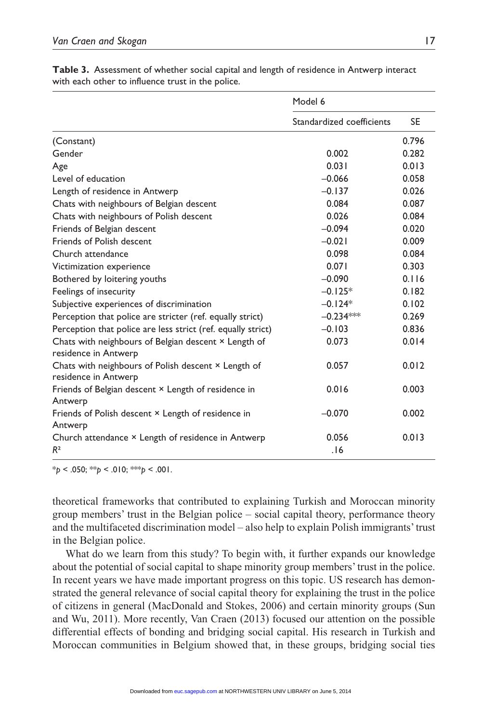|                                                                              | Model 6                   |           |
|------------------------------------------------------------------------------|---------------------------|-----------|
|                                                                              | Standardized coefficients | <b>SE</b> |
| (Constant)                                                                   |                           | 0.796     |
| Gender                                                                       | 0.002                     | 0.282     |
| Age                                                                          | 0.031                     | 0.013     |
| Level of education                                                           | $-0.066$                  | 0.058     |
| Length of residence in Antwerp                                               | $-0.137$                  | 0.026     |
| Chats with neighbours of Belgian descent                                     | 0.084                     | 0.087     |
| Chats with neighbours of Polish descent                                      | 0.026                     | 0.084     |
| Friends of Belgian descent                                                   | $-0.094$                  | 0.020     |
| Friends of Polish descent                                                    | $-0.021$                  | 0.009     |
| Church attendance                                                            | 0.098                     | 0.084     |
| Victimization experience                                                     | 0.071                     | 0.303     |
| Bothered by loitering youths                                                 | $-0.090$                  | 0.116     |
| Feelings of insecurity                                                       | $-0.125*$                 | 0.182     |
| Subjective experiences of discrimination                                     | $-0.124*$                 | 0.102     |
| Perception that police are stricter (ref. equally strict)                    | $-0.234***$               | 0.269     |
| Perception that police are less strict (ref. equally strict)                 | $-0.103$                  | 0.836     |
| Chats with neighbours of Belgian descent × Length of<br>residence in Antwerp | 0.073                     | 0.014     |
| Chats with neighbours of Polish descent × Length of<br>residence in Antwerp  | 0.057                     | 0.012     |
| Friends of Belgian descent × Length of residence in<br>Antwerp               | 0.016                     | 0.003     |
| Friends of Polish descent × Length of residence in<br>Antwerp                | $-0.070$                  | 0.002     |
| Church attendance × Length of residence in Antwerp<br>R <sup>2</sup>         | 0.056<br>.16              | 0.013     |

**Table 3.** Assessment of whether social capital and length of residence in Antwerp interact with each other to influence trust in the police.

\**p* < .050; \*\**p* < .010; \*\*\**p* < .001.

theoretical frameworks that contributed to explaining Turkish and Moroccan minority group members' trust in the Belgian police – social capital theory, performance theory and the multifaceted discrimination model – also help to explain Polish immigrants' trust in the Belgian police.

What do we learn from this study? To begin with, it further expands our knowledge about the potential of social capital to shape minority group members' trust in the police. In recent years we have made important progress on this topic. US research has demonstrated the general relevance of social capital theory for explaining the trust in the police of citizens in general (MacDonald and Stokes, 2006) and certain minority groups (Sun and Wu, 2011). More recently, Van Craen (2013) focused our attention on the possible differential effects of bonding and bridging social capital. His research in Turkish and Moroccan communities in Belgium showed that, in these groups, bridging social ties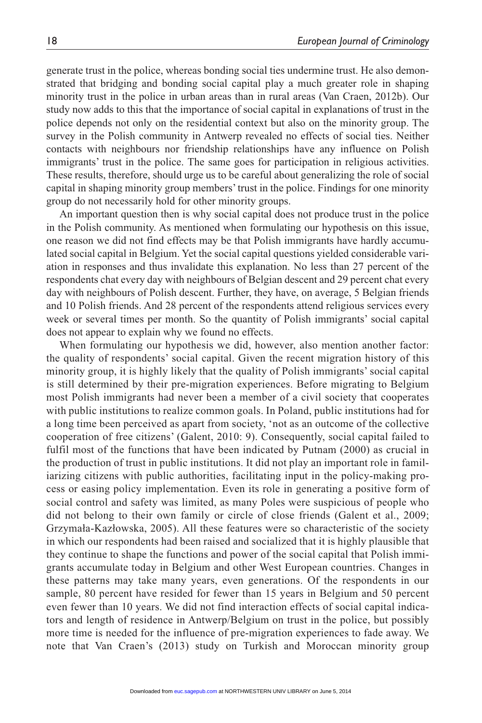generate trust in the police, whereas bonding social ties undermine trust. He also demonstrated that bridging and bonding social capital play a much greater role in shaping minority trust in the police in urban areas than in rural areas (Van Craen, 2012b). Our study now adds to this that the importance of social capital in explanations of trust in the police depends not only on the residential context but also on the minority group. The survey in the Polish community in Antwerp revealed no effects of social ties. Neither contacts with neighbours nor friendship relationships have any influence on Polish immigrants' trust in the police. The same goes for participation in religious activities. These results, therefore, should urge us to be careful about generalizing the role of social capital in shaping minority group members' trust in the police. Findings for one minority group do not necessarily hold for other minority groups.

An important question then is why social capital does not produce trust in the police in the Polish community. As mentioned when formulating our hypothesis on this issue, one reason we did not find effects may be that Polish immigrants have hardly accumulated social capital in Belgium. Yet the social capital questions yielded considerable variation in responses and thus invalidate this explanation. No less than 27 percent of the respondents chat every day with neighbours of Belgian descent and 29 percent chat every day with neighbours of Polish descent. Further, they have, on average, 5 Belgian friends and 10 Polish friends. And 28 percent of the respondents attend religious services every week or several times per month. So the quantity of Polish immigrants' social capital does not appear to explain why we found no effects.

When formulating our hypothesis we did, however, also mention another factor: the quality of respondents' social capital. Given the recent migration history of this minority group, it is highly likely that the quality of Polish immigrants' social capital is still determined by their pre-migration experiences. Before migrating to Belgium most Polish immigrants had never been a member of a civil society that cooperates with public institutions to realize common goals. In Poland, public institutions had for a long time been perceived as apart from society, 'not as an outcome of the collective cooperation of free citizens' (Galent, 2010: 9). Consequently, social capital failed to fulfil most of the functions that have been indicated by Putnam (2000) as crucial in the production of trust in public institutions. It did not play an important role in familiarizing citizens with public authorities, facilitating input in the policy-making process or easing policy implementation. Even its role in generating a positive form of social control and safety was limited, as many Poles were suspicious of people who did not belong to their own family or circle of close friends (Galent et al., 2009; Grzymała-Kazłowska, 2005). All these features were so characteristic of the society in which our respondents had been raised and socialized that it is highly plausible that they continue to shape the functions and power of the social capital that Polish immigrants accumulate today in Belgium and other West European countries. Changes in these patterns may take many years, even generations. Of the respondents in our sample, 80 percent have resided for fewer than 15 years in Belgium and 50 percent even fewer than 10 years. We did not find interaction effects of social capital indicators and length of residence in Antwerp/Belgium on trust in the police, but possibly more time is needed for the influence of pre-migration experiences to fade away. We note that Van Craen's (2013) study on Turkish and Moroccan minority group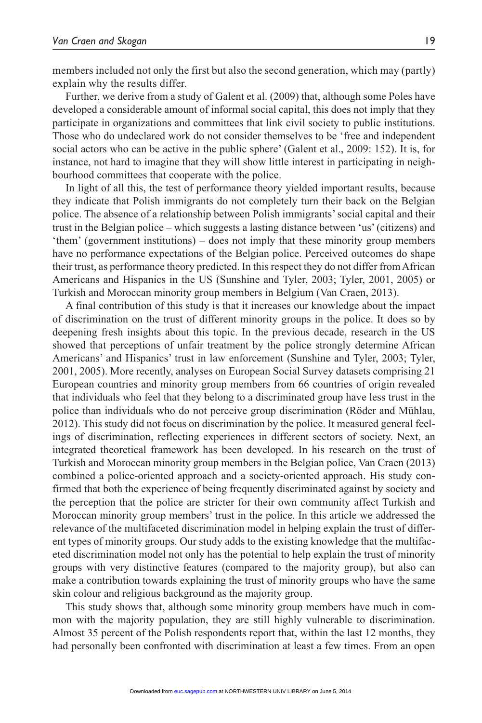members included not only the first but also the second generation, which may (partly) explain why the results differ.

Further, we derive from a study of Galent et al. (2009) that, although some Poles have developed a considerable amount of informal social capital, this does not imply that they participate in organizations and committees that link civil society to public institutions. Those who do undeclared work do not consider themselves to be 'free and independent social actors who can be active in the public sphere' (Galent et al., 2009: 152). It is, for instance, not hard to imagine that they will show little interest in participating in neighbourhood committees that cooperate with the police.

In light of all this, the test of performance theory yielded important results, because they indicate that Polish immigrants do not completely turn their back on the Belgian police. The absence of a relationship between Polish immigrants' social capital and their trust in the Belgian police – which suggests a lasting distance between 'us' (citizens) and 'them' (government institutions) – does not imply that these minority group members have no performance expectations of the Belgian police. Perceived outcomes do shape their trust, as performance theory predicted. In this respect they do not differ from African Americans and Hispanics in the US (Sunshine and Tyler, 2003; Tyler, 2001, 2005) or Turkish and Moroccan minority group members in Belgium (Van Craen, 2013).

A final contribution of this study is that it increases our knowledge about the impact of discrimination on the trust of different minority groups in the police. It does so by deepening fresh insights about this topic. In the previous decade, research in the US showed that perceptions of unfair treatment by the police strongly determine African Americans' and Hispanics' trust in law enforcement (Sunshine and Tyler, 2003; Tyler, 2001, 2005). More recently, analyses on European Social Survey datasets comprising 21 European countries and minority group members from 66 countries of origin revealed that individuals who feel that they belong to a discriminated group have less trust in the police than individuals who do not perceive group discrimination (Röder and Mühlau, 2012). This study did not focus on discrimination by the police. It measured general feelings of discrimination, reflecting experiences in different sectors of society. Next, an integrated theoretical framework has been developed. In his research on the trust of Turkish and Moroccan minority group members in the Belgian police, Van Craen (2013) combined a police-oriented approach and a society-oriented approach. His study confirmed that both the experience of being frequently discriminated against by society and the perception that the police are stricter for their own community affect Turkish and Moroccan minority group members' trust in the police. In this article we addressed the relevance of the multifaceted discrimination model in helping explain the trust of different types of minority groups. Our study adds to the existing knowledge that the multifaceted discrimination model not only has the potential to help explain the trust of minority groups with very distinctive features (compared to the majority group), but also can make a contribution towards explaining the trust of minority groups who have the same skin colour and religious background as the majority group.

This study shows that, although some minority group members have much in common with the majority population, they are still highly vulnerable to discrimination. Almost 35 percent of the Polish respondents report that, within the last 12 months, they had personally been confronted with discrimination at least a few times. From an open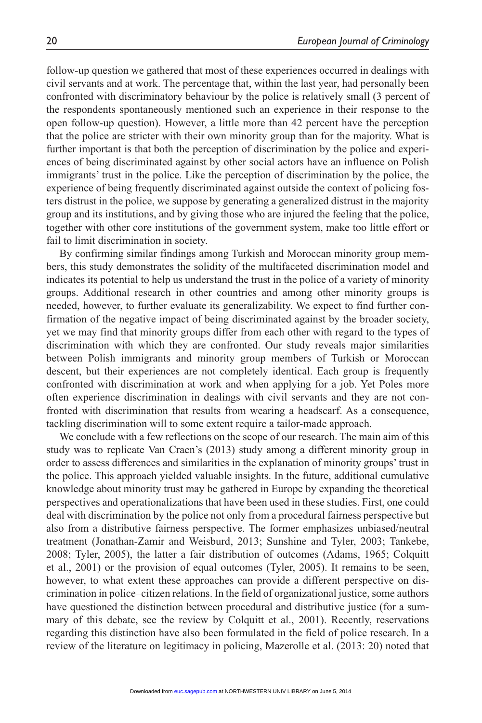follow-up question we gathered that most of these experiences occurred in dealings with civil servants and at work. The percentage that, within the last year, had personally been confronted with discriminatory behaviour by the police is relatively small (3 percent of the respondents spontaneously mentioned such an experience in their response to the open follow-up question). However, a little more than 42 percent have the perception that the police are stricter with their own minority group than for the majority. What is further important is that both the perception of discrimination by the police and experiences of being discriminated against by other social actors have an influence on Polish immigrants' trust in the police. Like the perception of discrimination by the police, the experience of being frequently discriminated against outside the context of policing fosters distrust in the police, we suppose by generating a generalized distrust in the majority group and its institutions, and by giving those who are injured the feeling that the police, together with other core institutions of the government system, make too little effort or fail to limit discrimination in society.

By confirming similar findings among Turkish and Moroccan minority group members, this study demonstrates the solidity of the multifaceted discrimination model and indicates its potential to help us understand the trust in the police of a variety of minority groups. Additional research in other countries and among other minority groups is needed, however, to further evaluate its generalizability. We expect to find further confirmation of the negative impact of being discriminated against by the broader society, yet we may find that minority groups differ from each other with regard to the types of discrimination with which they are confronted. Our study reveals major similarities between Polish immigrants and minority group members of Turkish or Moroccan descent, but their experiences are not completely identical. Each group is frequently confronted with discrimination at work and when applying for a job. Yet Poles more often experience discrimination in dealings with civil servants and they are not confronted with discrimination that results from wearing a headscarf. As a consequence, tackling discrimination will to some extent require a tailor-made approach.

We conclude with a few reflections on the scope of our research. The main aim of this study was to replicate Van Craen's (2013) study among a different minority group in order to assess differences and similarities in the explanation of minority groups' trust in the police. This approach yielded valuable insights. In the future, additional cumulative knowledge about minority trust may be gathered in Europe by expanding the theoretical perspectives and operationalizations that have been used in these studies. First, one could deal with discrimination by the police not only from a procedural fairness perspective but also from a distributive fairness perspective. The former emphasizes unbiased/neutral treatment (Jonathan-Zamir and Weisburd, 2013; Sunshine and Tyler, 2003; Tankebe, 2008; Tyler, 2005), the latter a fair distribution of outcomes (Adams, 1965; Colquitt et al., 2001) or the provision of equal outcomes (Tyler, 2005). It remains to be seen, however, to what extent these approaches can provide a different perspective on discrimination in police–citizen relations. In the field of organizational justice, some authors have questioned the distinction between procedural and distributive justice (for a summary of this debate, see the review by Colquitt et al., 2001). Recently, reservations regarding this distinction have also been formulated in the field of police research. In a review of the literature on legitimacy in policing, Mazerolle et al. (2013: 20) noted that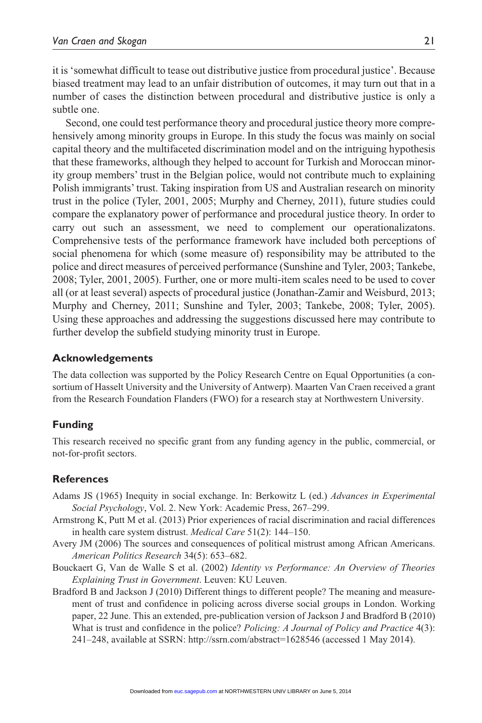it is 'somewhat difficult to tease out distributive justice from procedural justice'. Because biased treatment may lead to an unfair distribution of outcomes, it may turn out that in a number of cases the distinction between procedural and distributive justice is only a subtle one.

Second, one could test performance theory and procedural justice theory more comprehensively among minority groups in Europe. In this study the focus was mainly on social capital theory and the multifaceted discrimination model and on the intriguing hypothesis that these frameworks, although they helped to account for Turkish and Moroccan minority group members' trust in the Belgian police, would not contribute much to explaining Polish immigrants' trust. Taking inspiration from US and Australian research on minority trust in the police (Tyler, 2001, 2005; Murphy and Cherney, 2011), future studies could compare the explanatory power of performance and procedural justice theory. In order to carry out such an assessment, we need to complement our operationalizatons. Comprehensive tests of the performance framework have included both perceptions of social phenomena for which (some measure of) responsibility may be attributed to the police and direct measures of perceived performance (Sunshine and Tyler, 2003; Tankebe, 2008; Tyler, 2001, 2005). Further, one or more multi-item scales need to be used to cover all (or at least several) aspects of procedural justice (Jonathan-Zamir and Weisburd, 2013; Murphy and Cherney, 2011; Sunshine and Tyler, 2003; Tankebe, 2008; Tyler, 2005). Using these approaches and addressing the suggestions discussed here may contribute to further develop the subfield studying minority trust in Europe.

### **Acknowledgements**

The data collection was supported by the Policy Research Centre on Equal Opportunities (a consortium of Hasselt University and the University of Antwerp). Maarten Van Craen received a grant from the Research Foundation Flanders (FWO) for a research stay at Northwestern University.

## **Funding**

This research received no specific grant from any funding agency in the public, commercial, or not-for-profit sectors.

## **References**

- Adams JS (1965) Inequity in social exchange. In: Berkowitz L (ed.) *Advances in Experimental Social Psychology*, Vol. 2. New York: Academic Press, 267–299.
- Armstrong K, Putt M et al. (2013) Prior experiences of racial discrimination and racial differences in health care system distrust. *Medical Care* 51(2): 144–150.
- Avery JM (2006) The sources and consequences of political mistrust among African Americans. *American Politics Research* 34(5): 653–682.
- Bouckaert G, Van de Walle S et al. (2002) *Identity vs Performance: An Overview of Theories Explaining Trust in Government*. Leuven: KU Leuven.
- Bradford B and Jackson J (2010) Different things to different people? The meaning and measurement of trust and confidence in policing across diverse social groups in London. Working paper, 22 June. This an extended, pre-publication version of Jackson J and Bradford B (2010) What is trust and confidence in the police? *Policing: A Journal of Policy and Practice* 4(3): 241–248, available at SSRN: http://ssrn.com/abstract=1628546 (accessed 1 May 2014).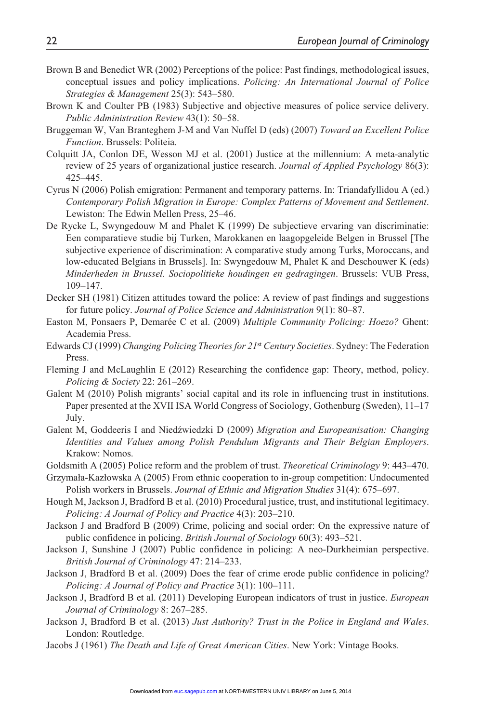- Brown B and Benedict WR (2002) Perceptions of the police: Past findings, methodological issues, conceptual issues and policy implications. *Policing: An International Journal of Police Strategies & Management* 25(3): 543–580.
- Brown K and Coulter PB (1983) Subjective and objective measures of police service delivery. *Public Administration Review* 43(1): 50–58.
- Bruggeman W, Van Branteghem J-M and Van Nuffel D (eds) (2007) *Toward an Excellent Police Function*. Brussels: Politeia.
- Colquitt JA, Conlon DE, Wesson MJ et al. (2001) Justice at the millennium: A meta-analytic review of 25 years of organizational justice research. *Journal of Applied Psychology* 86(3): 425–445.
- Cyrus N (2006) Polish emigration: Permanent and temporary patterns. In: Triandafyllidou A (ed.) *Contemporary Polish Migration in Europe: Complex Patterns of Movement and Settlement*. Lewiston: The Edwin Mellen Press, 25–46.
- De Rycke L, Swyngedouw M and Phalet K (1999) De subjectieve ervaring van discriminatie: Een comparatieve studie bij Turken, Marokkanen en laagopgeleide Belgen in Brussel [The subjective experience of discrimination: A comparative study among Turks, Moroccans, and low-educated Belgians in Brussels]. In: Swyngedouw M, Phalet K and Deschouwer K (eds) *Minderheden in Brussel. Sociopolitieke houdingen en gedragingen*. Brussels: VUB Press, 109–147.
- Decker SH (1981) Citizen attitudes toward the police: A review of past findings and suggestions for future policy. *Journal of Police Science and Administration* 9(1): 80–87.
- Easton M, Ponsaers P, Demarée C et al. (2009) *Multiple Community Policing: Hoezo?* Ghent: Academia Press.
- Edwards CJ (1999) *Changing Policing Theories for 21*st *Century Societies*. Sydney: The Federation Press.
- Fleming J and McLaughlin E (2012) Researching the confidence gap: Theory, method, policy. *Policing & Society* 22: 261–269.
- Galent M (2010) Polish migrants' social capital and its role in influencing trust in institutions. Paper presented at the XVII ISA World Congress of Sociology, Gothenburg (Sweden), 11–17 July.
- Galent M, Goddeeris I and Niedźwiedzki D (2009) *Migration and Europeanisation: Changing Identities and Values among Polish Pendulum Migrants and Their Belgian Employers*. Krakow: Nomos.
- Goldsmith A (2005) Police reform and the problem of trust. *Theoretical Criminology* 9: 443–470.
- Grzymała-Kazłowska A (2005) From ethnic cooperation to in-group competition: Undocumented Polish workers in Brussels. *Journal of Ethnic and Migration Studies* 31(4): 675–697.
- Hough M, Jackson J, Bradford B et al. (2010) Procedural justice, trust, and institutional legitimacy. *Policing: A Journal of Policy and Practice* 4(3): 203–210.
- Jackson J and Bradford B (2009) Crime, policing and social order: On the expressive nature of public confidence in policing. *British Journal of Sociology* 60(3): 493–521.
- Jackson J, Sunshine J (2007) Public confidence in policing: A neo-Durkheimian perspective. *British Journal of Criminology* 47: 214–233.
- Jackson J, Bradford B et al. (2009) Does the fear of crime erode public confidence in policing? *Policing: A Journal of Policy and Practice* 3(1): 100–111.
- Jackson J, Bradford B et al. (2011) Developing European indicators of trust in justice. *European Journal of Criminology* 8: 267–285.
- Jackson J, Bradford B et al. (2013) *Just Authority? Trust in the Police in England and Wales*. London: Routledge.
- Jacobs J (1961) *The Death and Life of Great American Cities*. New York: Vintage Books.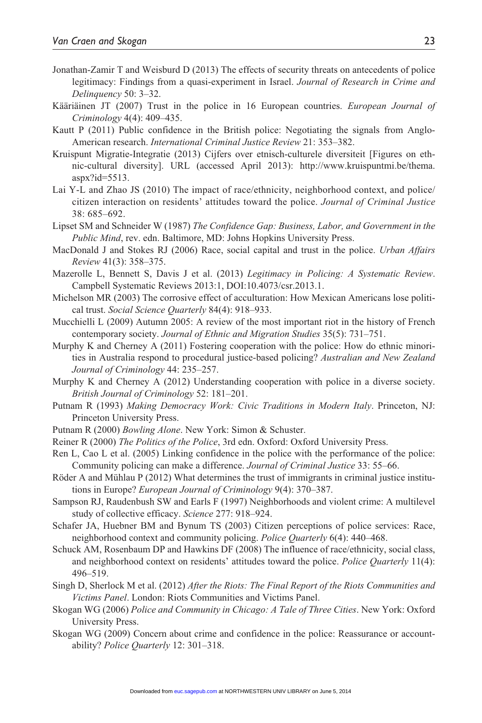- Jonathan-Zamir T and Weisburd D (2013) The effects of security threats on antecedents of police legitimacy: Findings from a quasi-experiment in Israel. *Journal of Research in Crime and Delinquency* 50: 3–32.
- Kääriäinen JT (2007) Trust in the police in 16 European countries. *European Journal of Criminology* 4(4): 409–435.
- Kautt P (2011) Public confidence in the British police: Negotiating the signals from Anglo-American research. *International Criminal Justice Review* 21: 353–382.
- Kruispunt Migratie-Integratie (2013) Cijfers over etnisch-culturele diversiteit [Figures on ethnic-cultural diversity]. URL (accessed April 2013): http://www.kruispuntmi.be/thema. aspx?id=5513.
- Lai Y-L and Zhao JS (2010) The impact of race/ethnicity, neighborhood context, and police/ citizen interaction on residents' attitudes toward the police. *Journal of Criminal Justice* 38: 685–692.
- Lipset SM and Schneider W (1987) *The Confidence Gap: Business, Labor, and Government in the Public Mind*, rev. edn. Baltimore, MD: Johns Hopkins University Press.
- MacDonald J and Stokes RJ (2006) Race, social capital and trust in the police. *Urban Affairs Review* 41(3): 358–375.
- Mazerolle L, Bennett S, Davis J et al. (2013) *Legitimacy in Policing: A Systematic Review*. Campbell Systematic Reviews 2013:1, DOI:10.4073/csr.2013.1.
- Michelson MR (2003) The corrosive effect of acculturation: How Mexican Americans lose political trust. *Social Science Quarterly* 84(4): 918–933.
- Mucchielli L (2009) Autumn 2005: A review of the most important riot in the history of French contemporary society. *Journal of Ethnic and Migration Studies* 35(5): 731–751.
- Murphy K and Cherney A (2011) Fostering cooperation with the police: How do ethnic minorities in Australia respond to procedural justice-based policing? *Australian and New Zealand Journal of Criminology* 44: 235–257.
- Murphy K and Cherney A (2012) Understanding cooperation with police in a diverse society. *British Journal of Criminology* 52: 181–201.
- Putnam R (1993) *Making Democracy Work: Civic Traditions in Modern Italy*. Princeton, NJ: Princeton University Press.
- Putnam R (2000) *Bowling Alone*. New York: Simon & Schuster.
- Reiner R (2000) *The Politics of the Police*, 3rd edn. Oxford: Oxford University Press.
- Ren L, Cao L et al. (2005) Linking confidence in the police with the performance of the police: Community policing can make a difference. *Journal of Criminal Justice* 33: 55–66.
- Röder A and Mühlau P (2012) What determines the trust of immigrants in criminal justice institutions in Europe? *European Journal of Criminology* 9(4): 370–387.
- Sampson RJ, Raudenbush SW and Earls F (1997) Neighborhoods and violent crime: A multilevel study of collective efficacy. *Science* 277: 918–924.
- Schafer JA, Huebner BM and Bynum TS (2003) Citizen perceptions of police services: Race, neighborhood context and community policing. *Police Quarterly* 6(4): 440–468.
- Schuck AM, Rosenbaum DP and Hawkins DF (2008) The influence of race/ethnicity, social class, and neighborhood context on residents' attitudes toward the police. *Police Quarterly* 11(4): 496–519.
- Singh D, Sherlock M et al. (2012) *After the Riots: The Final Report of the Riots Communities and Victims Panel*. London: Riots Communities and Victims Panel.
- Skogan WG (2006) *Police and Community in Chicago: A Tale of Three Cities*. New York: Oxford University Press.
- Skogan WG (2009) Concern about crime and confidence in the police: Reassurance or accountability? *Police Quarterly* 12: 301–318.